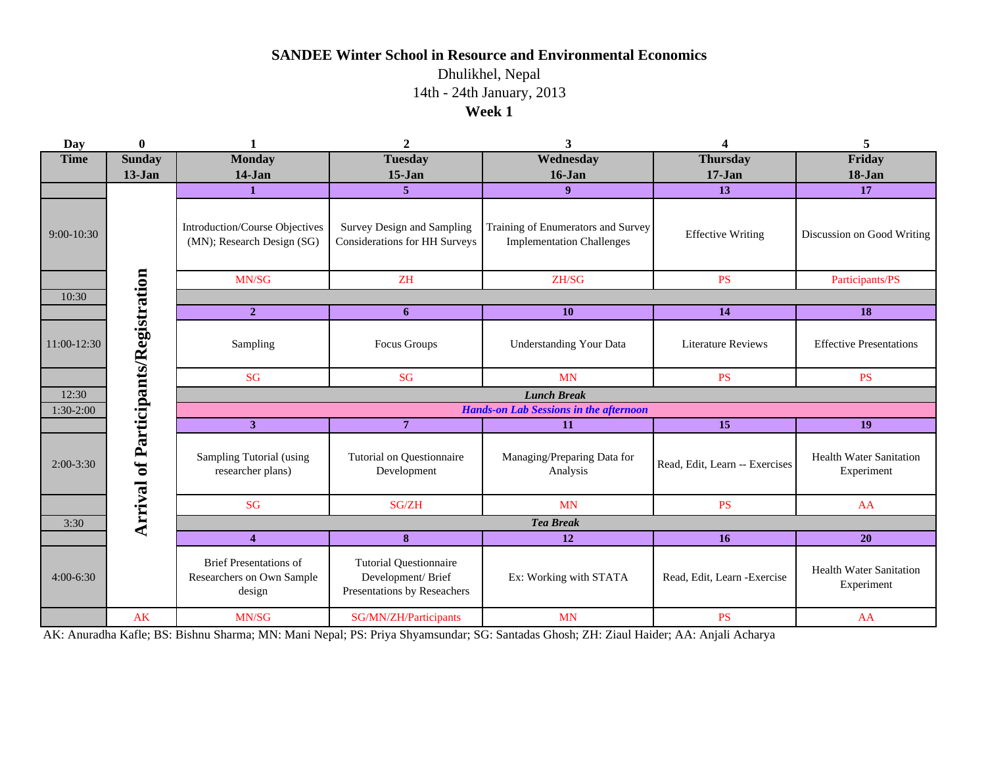## **SANDEE Winter School in Resource and Environmental Economics**

Dhulikhel, Nepal **Week 1** 14th - 24th January, 2013

| Day         | $\bf{0}$                             |                                                                      | $\boldsymbol{2}$                                                                  | 3                                                                         | 4                             | 5                                            |  |  |  |  |  |
|-------------|--------------------------------------|----------------------------------------------------------------------|-----------------------------------------------------------------------------------|---------------------------------------------------------------------------|-------------------------------|----------------------------------------------|--|--|--|--|--|
| <b>Time</b> | <b>Sunday</b>                        | <b>Monday</b>                                                        | <b>Tuesday</b>                                                                    | Wednesday                                                                 | <b>Thursday</b><br>$17 - Jan$ | Friday                                       |  |  |  |  |  |
|             | $13-Jan$                             | $14-Jan$                                                             |                                                                                   | $15-Jan$<br>$16$ -Jan                                                     |                               | $18 - Jan$                                   |  |  |  |  |  |
|             |                                      | 1                                                                    | 5 <sup>5</sup>                                                                    | 9 <sup>°</sup>                                                            | 13                            | 17                                           |  |  |  |  |  |
| 9:00-10:30  |                                      | Introduction/Course Objectives<br>(MN); Research Design (SG)         | Survey Design and Sampling<br><b>Considerations for HH Surveys</b>                | Training of Enumerators and Survey<br><b>Implementation Challenges</b>    | <b>Effective Writing</b>      | Discussion on Good Writing                   |  |  |  |  |  |
|             |                                      | MN/SG                                                                | ZH                                                                                | ZH/SG                                                                     | <b>PS</b>                     | Participants/PS                              |  |  |  |  |  |
| 10:30       |                                      |                                                                      |                                                                                   |                                                                           |                               |                                              |  |  |  |  |  |
|             |                                      | $\overline{2}$                                                       | 6                                                                                 | <b>10</b>                                                                 | 14                            | 18                                           |  |  |  |  |  |
| 11:00-12:30 |                                      | Sampling                                                             | Focus Groups                                                                      | <b>Understanding Your Data</b>                                            | <b>Literature Reviews</b>     | <b>Effective Presentations</b>               |  |  |  |  |  |
|             |                                      | <b>SG</b>                                                            | <b>SG</b>                                                                         | <b>MN</b>                                                                 | <b>PS</b>                     | <b>PS</b>                                    |  |  |  |  |  |
| 12:30       |                                      | <b>Lunch Break</b>                                                   |                                                                                   |                                                                           |                               |                                              |  |  |  |  |  |
| 1:30-2:00   |                                      | <b>Hands-on Lab Sessions in the afternoon</b>                        |                                                                                   |                                                                           |                               |                                              |  |  |  |  |  |
|             |                                      | 3 <sup>1</sup>                                                       | $\overline{7}$                                                                    | 11                                                                        | 15                            | 19                                           |  |  |  |  |  |
| $2:00-3:30$ | Arrival of Participants/Registration | Sampling Tutorial (using<br>researcher plans)                        | Tutorial on Questionnaire<br>Development                                          | Managing/Preparing Data for<br>Read, Edit, Learn -- Exercises<br>Analysis |                               | <b>Health Water Sanitation</b><br>Experiment |  |  |  |  |  |
|             |                                      | <b>SG</b>                                                            | SG/ZH                                                                             | <b>MN</b>                                                                 | <b>PS</b>                     | AA                                           |  |  |  |  |  |
| 3:30        |                                      | <b>Tea Break</b>                                                     |                                                                                   |                                                                           |                               |                                              |  |  |  |  |  |
|             |                                      | $\overline{\mathbf{4}}$                                              | $\bf8$                                                                            | <b>12</b>                                                                 | 16                            | 20                                           |  |  |  |  |  |
| $4:00-6:30$ |                                      | <b>Brief Presentations of</b><br>Researchers on Own Sample<br>design | <b>Tutorial Questionnaire</b><br>Development/Brief<br>Presentations by Reseachers | Ex: Working with STATA                                                    | Read, Edit, Learn - Exercise  | <b>Health Water Sanitation</b><br>Experiment |  |  |  |  |  |
|             | <b>AK</b>                            | MN/SG                                                                | SG/MN/ZH/Participants                                                             | <b>MN</b>                                                                 | <b>PS</b>                     | AA                                           |  |  |  |  |  |

AK: Anuradha Kafle; BS: Bishnu Sharma; MN: Mani Nepal; PS: Priya Shyamsundar; SG: Santadas Ghosh; ZH: Ziaul Haider; AA: Anjali Acharya